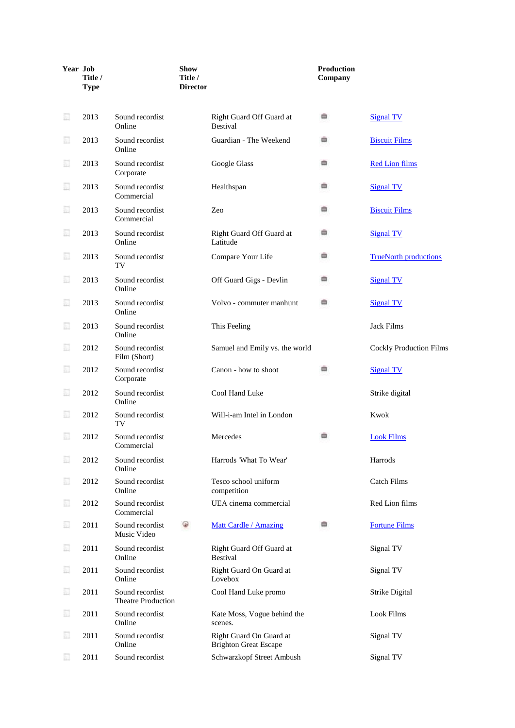| Year Job | Title /<br><b>Type</b> |                                              | <b>Show</b><br>Title /<br><b>Director</b> |                                                         | <b>Production</b><br>Company |                                |
|----------|------------------------|----------------------------------------------|-------------------------------------------|---------------------------------------------------------|------------------------------|--------------------------------|
| 圓        | 2013                   | Sound recordist<br>Online                    |                                           | Right Guard Off Guard at<br><b>Bestival</b>             | ≘                            | <b>Signal TV</b>               |
| 圓        | 2013                   | Sound recordist<br>Online                    |                                           | Guardian - The Weekend                                  | ▭                            | <b>Biscuit Films</b>           |
| 圓        | 2013                   | Sound recordist<br>Corporate                 |                                           | Google Glass                                            | ▭                            | <b>Red Lion films</b>          |
| E        | 2013                   | Sound recordist<br>Commercial                |                                           | Healthspan                                              | ▥                            | <b>Signal TV</b>               |
| 圓        | 2013                   | Sound recordist<br>Commercial                |                                           | Zeo                                                     | ▦                            | <b>Biscuit Films</b>           |
| 圓        | 2013                   | Sound recordist<br>Online                    |                                           | Right Guard Off Guard at<br>Latitude                    | ▭                            | <b>Signal TV</b>               |
| 圓        | 2013                   | Sound recordist<br>TV                        |                                           | Compare Your Life                                       | ▭                            | <b>TrueNorth productions</b>   |
| 圓        | 2013                   | Sound recordist<br>Online                    |                                           | Off Guard Gigs - Devlin                                 | ▭                            | <b>Signal TV</b>               |
| 圓        | 2013                   | Sound recordist<br>Online                    |                                           | Volvo - commuter manhunt                                | 曲                            | <b>Signal TV</b>               |
| 圓        | 2013                   | Sound recordist<br>Online                    |                                           | This Feeling                                            |                              | <b>Jack Films</b>              |
| 圓        | 2012                   | Sound recordist<br>Film (Short)              |                                           | Samuel and Emily vs. the world                          |                              | <b>Cockly Production Films</b> |
| 圜        | 2012                   | Sound recordist<br>Corporate                 |                                           | Canon - how to shoot                                    | ۰                            | <b>Signal TV</b>               |
| 圓        | 2012                   | Sound recordist<br>Online                    |                                           | Cool Hand Luke                                          |                              | Strike digital                 |
| 圓        | 2012                   | Sound recordist<br>TV                        |                                           | Will-i-am Intel in London                               |                              | Kwok                           |
| 圜        | 2012                   | Sound recordist<br>Commercial                |                                           | Mercedes                                                |                              | <b>Look Films</b>              |
| E        | 2012                   | Sound recordist<br>Online                    |                                           | Harrods 'What To Wear'                                  |                              | Harrods                        |
| 圜        | 2012                   | Sound recordist<br>Online                    |                                           | Tesco school uniform<br>competition                     |                              | Catch Films                    |
| 圜        | 2012                   | Sound recordist<br>Commercial                |                                           | UEA cinema commercial                                   |                              | Red Lion films                 |
| 圓        | 2011                   | Sound recordist<br>Music Video               | ⊌                                         | Matt Cardle / Amazing                                   | ٠                            | <b>Fortune Films</b>           |
| 圓        | 2011                   | Sound recordist<br>Online                    |                                           | Right Guard Off Guard at<br><b>Bestival</b>             |                              | Signal TV                      |
| E        | 2011                   | Sound recordist<br>Online                    |                                           | Right Guard On Guard at<br>Lovebox                      |                              | Signal TV                      |
| E        | 2011                   | Sound recordist<br><b>Theatre Production</b> |                                           | Cool Hand Luke promo                                    |                              | Strike Digital                 |
| E        | 2011                   | Sound recordist<br>Online                    |                                           | Kate Moss, Vogue behind the<br>scenes.                  |                              | Look Films                     |
| 圓        | 2011                   | Sound recordist<br>Online                    |                                           | Right Guard On Guard at<br><b>Brighton Great Escape</b> |                              | Signal TV                      |
| 圓        | 2011                   | Sound recordist                              |                                           | Schwarzkopf Street Ambush                               |                              | Signal TV                      |